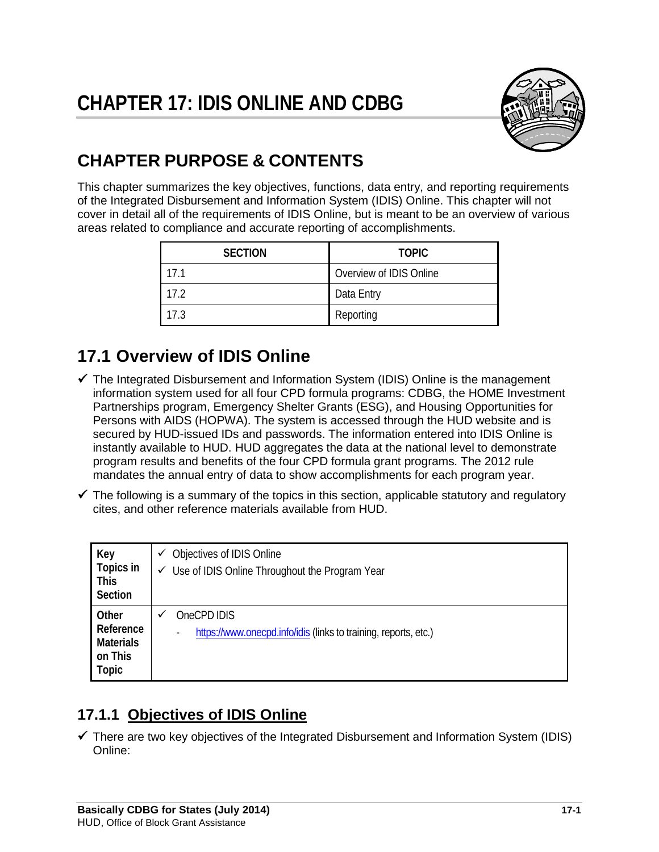

# **CHAPTER PURPOSE & CONTENTS**

This chapter summarizes the key objectives, functions, data entry, and reporting requirements of the Integrated Disbursement and Information System (IDIS) Online. This chapter will not cover in detail all of the requirements of IDIS Online, but is meant to be an overview of various areas related to compliance and accurate reporting of accomplishments.

| <b>SECTION</b> | <b>TOPIC</b>            |  |
|----------------|-------------------------|--|
| 17.1           | Overview of IDIS Online |  |
| 17.2           | Data Entry              |  |
| 17.3           | Reporting               |  |

# **17.1 Overview of IDIS Online**

- $\checkmark$  The Integrated Disbursement and Information System (IDIS) Online is the management information system used for all four CPD formula programs: CDBG, the HOME Investment Partnerships program, Emergency Shelter Grants (ESG), and Housing Opportunities for Persons with AIDS (HOPWA). The system is accessed through the HUD website and is secured by HUD-issued IDs and passwords. The information entered into IDIS Online is instantly available to HUD. HUD aggregates the data at the national level to demonstrate program results and benefits of the four CPD formula grant programs. The 2012 rule mandates the annual entry of data to show accomplishments for each program year.
- $\checkmark$  The following is a summary of the topics in this section, applicable statutory and regulatory cites, and other reference materials available from HUD.

| Key<br>Topics in<br><b>This</b><br>Section                        | Objectives of IDIS Online<br>✓<br>$\checkmark$ Use of IDIS Online Throughout the Program Year                   |
|-------------------------------------------------------------------|-----------------------------------------------------------------------------------------------------------------|
| Other<br>Reference<br><b>Materials</b><br>on This<br><b>Topic</b> | OneCPD IDIS<br>v<br>https://www.onecpd.info/idis (links to training, reports, etc.)<br>$\overline{\phantom{0}}$ |

## **17.1.1 Objectives of IDIS Online**

 $\checkmark$  There are two key objectives of the Integrated Disbursement and Information System (IDIS) Online: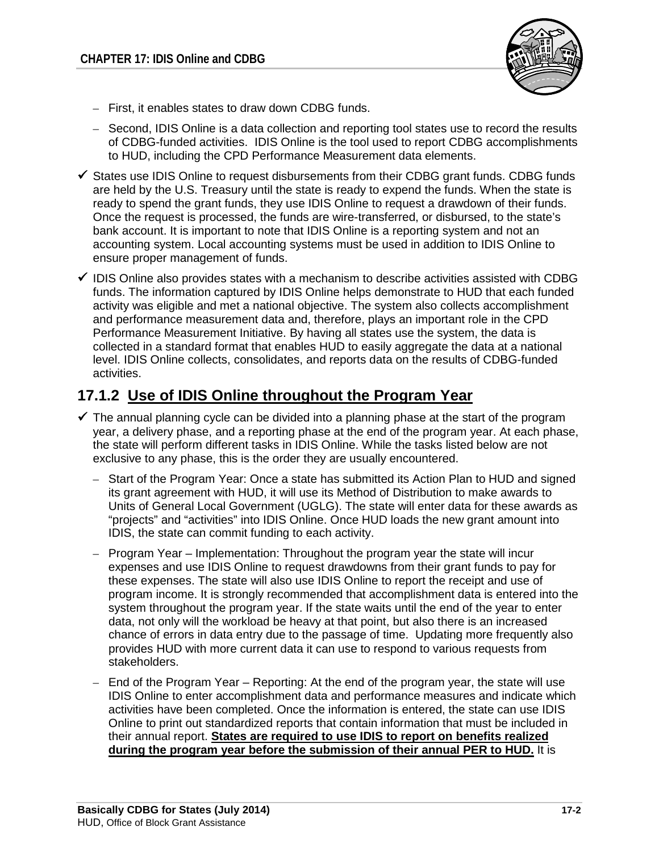

- First, it enables states to draw down CDBG funds.
- Second, IDIS Online is a data collection and reporting tool states use to record the results of CDBG-funded activities. IDIS Online is the tool used to report CDBG accomplishments to HUD, including the CPD Performance Measurement data elements.
- $\checkmark$  States use IDIS Online to request disbursements from their CDBG grant funds. CDBG funds are held by the U.S. Treasury until the state is ready to expend the funds. When the state is ready to spend the grant funds, they use IDIS Online to request a drawdown of their funds. Once the request is processed, the funds are wire-transferred, or disbursed, to the state's bank account. It is important to note that IDIS Online is a reporting system and not an accounting system. Local accounting systems must be used in addition to IDIS Online to ensure proper management of funds.
- $\checkmark$  IDIS Online also provides states with a mechanism to describe activities assisted with CDBG funds. The information captured by IDIS Online helps demonstrate to HUD that each funded activity was eligible and met a national objective. The system also collects accomplishment and performance measurement data and, therefore, plays an important role in the CPD Performance Measurement Initiative. By having all states use the system, the data is collected in a standard format that enables HUD to easily aggregate the data at a national level. IDIS Online collects, consolidates, and reports data on the results of CDBG-funded activities.

### **17.1.2 Use of IDIS Online throughout the Program Year**

- $\checkmark$  The annual planning cycle can be divided into a planning phase at the start of the program year, a delivery phase, and a reporting phase at the end of the program year. At each phase, the state will perform different tasks in IDIS Online. While the tasks listed below are not exclusive to any phase, this is the order they are usually encountered.
	- Start of the Program Year: Once a state has submitted its Action Plan to HUD and signed its grant agreement with HUD, it will use its Method of Distribution to make awards to Units of General Local Government (UGLG). The state will enter data for these awards as "projects" and "activities" into IDIS Online. Once HUD loads the new grant amount into IDIS, the state can commit funding to each activity.
	- Program Year Implementation: Throughout the program year the state will incur expenses and use IDIS Online to request drawdowns from their grant funds to pay for these expenses. The state will also use IDIS Online to report the receipt and use of program income. It is strongly recommended that accomplishment data is entered into the system throughout the program year. If the state waits until the end of the year to enter data, not only will the workload be heavy at that point, but also there is an increased chance of errors in data entry due to the passage of time. Updating more frequently also provides HUD with more current data it can use to respond to various requests from stakeholders.
	- End of the Program Year Reporting: At the end of the program year, the state will use IDIS Online to enter accomplishment data and performance measures and indicate which activities have been completed. Once the information is entered, the state can use IDIS Online to print out standardized reports that contain information that must be included in their annual report. **States are required to use IDIS to report on benefits realized during the program year before the submission of their annual PER to HUD.** It is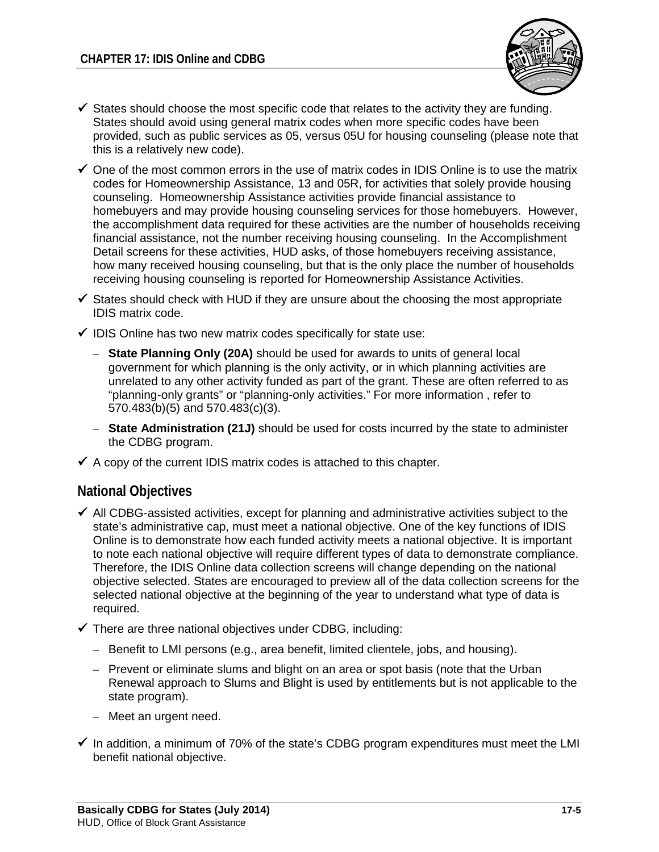

- $\checkmark$  States should choose the most specific code that relates to the activity they are funding. States should avoid using general matrix codes when more specific codes have been provided, such as public services as 05, versus 05U for housing counseling (please note that this is a relatively new code).
- $\checkmark$  One of the most common errors in the use of matrix codes in IDIS Online is to use the matrix codes for Homeownership Assistance, 13 and 05R, for activities that solely provide housing counseling. Homeownership Assistance activities provide financial assistance to homebuyers and may provide housing counseling services for those homebuyers. However, the accomplishment data required for these activities are the number of households receiving financial assistance, not the number receiving housing counseling. In the Accomplishment Detail screens for these activities, HUD asks, of those homebuyers receiving assistance, how many received housing counseling, but that is the only place the number of households receiving housing counseling is reported for Homeownership Assistance Activities.
- $\checkmark$  States should check with HUD if they are unsure about the choosing the most appropriate IDIS matrix code.
- $\checkmark$  IDIS Online has two new matrix codes specifically for state use:
	- **State Planning Only (20A)** should be used for awards to units of general local government for which planning is the only activity, or in which planning activities are unrelated to any other activity funded as part of the grant. These are often referred to as "planning-only grants" or "planning-only activities." For more information , refer to 570.483(b)(5) and 570.483(c)(3).
	- **State Administration (21J)** should be used for costs incurred by the state to administer the CDBG program.
- $\checkmark$  A copy of the current IDIS matrix codes is attached to this chapter.

#### **National Objectives**

- $\checkmark$  All CDBG-assisted activities, except for planning and administrative activities subject to the state's administrative cap, must meet a national objective. One of the key functions of IDIS Online is to demonstrate how each funded activity meets a national objective. It is important to note each national objective will require different types of data to demonstrate compliance. Therefore, the IDIS Online data collection screens will change depending on the national objective selected. States are encouraged to preview all of the data collection screens for the selected national objective at the beginning of the year to understand what type of data is required.
- $\checkmark$  There are three national objectives under CDBG, including:
	- Benefit to LMI persons (e.g., area benefit, limited clientele, jobs, and housing).
	- Prevent or eliminate slums and blight on an area or spot basis (note that the Urban Renewal approach to Slums and Blight is used by entitlements but is not applicable to the state program).
	- Meet an urgent need.
- $\checkmark$  In addition, a minimum of 70% of the state's CDBG program expenditures must meet the LMI benefit national objective.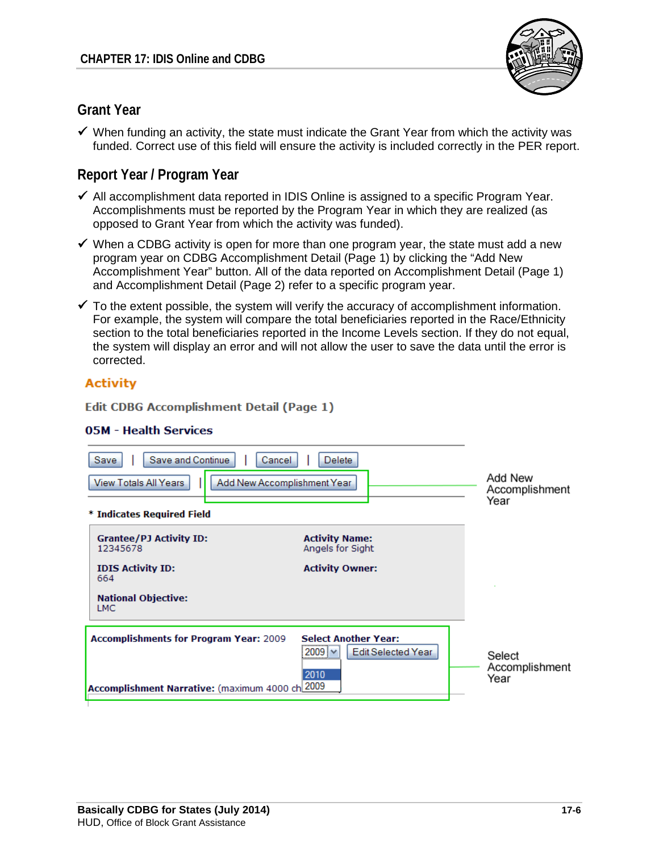

### **Grant Year**

 $\checkmark$  When funding an activity, the state must indicate the Grant Year from which the activity was funded. Correct use of this field will ensure the activity is included correctly in the PER report.

### **Report Year / Program Year**

- $\checkmark$  All accomplishment data reported in IDIS Online is assigned to a specific Program Year. Accomplishments must be reported by the Program Year in which they are realized (as opposed to Grant Year from which the activity was funded).
- $\checkmark$  When a CDBG activity is open for more than one program year, the state must add a new program year on CDBG Accomplishment Detail (Page 1) by clicking the "Add New Accomplishment Year" button. All of the data reported on Accomplishment Detail (Page 1) and Accomplishment Detail (Page 2) refer to a specific program year.
- $\checkmark$  To the extent possible, the system will verify the accuracy of accomplishment information. For example, the system will compare the total beneficiaries reported in the Race/Ethnicity section to the total beneficiaries reported in the Income Levels section. If they do not equal, the system will display an error and will not allow the user to save the data until the error is corrected.

### **Activity**

**Edit CDBG Accomplishment Detail (Page 1)** 

#### **05M - Health Services**

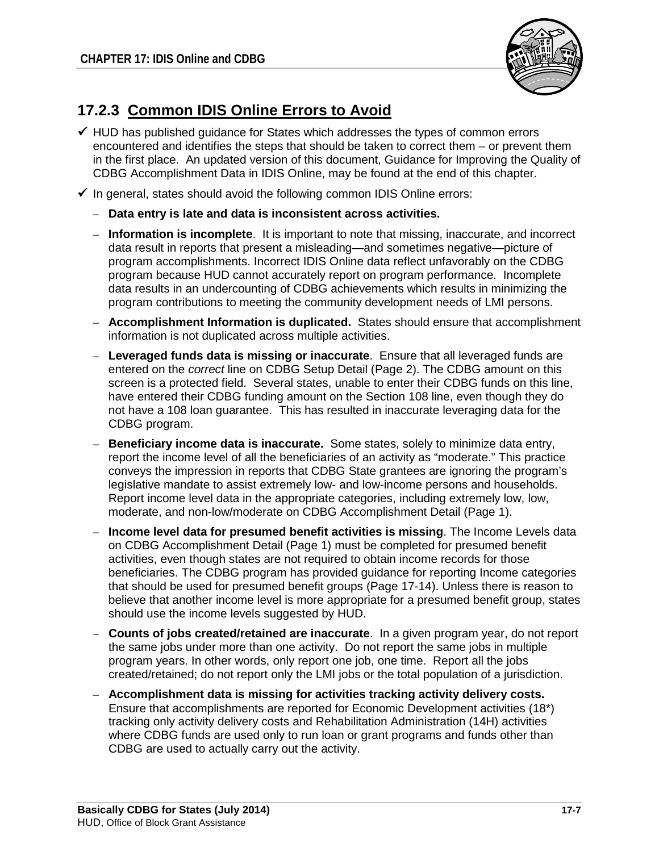

## **17.2.3 Common IDIS Online Errors to Avoid**

- $\checkmark$  HUD has published quidance for States which addresses the types of common errors encountered and identifies the steps that should be taken to correct them – or prevent them in the first place. An updated version of this document, Guidance for Improving the Quality of CDBG Accomplishment Data in IDIS Online, may be found at the end of this chapter.
- $\checkmark$  In general, states should avoid the following common IDIS Online errors:
	- **Data entry is late and data is inconsistent across activities.**
	- **Information is incomplete**. It is important to note that missing, inaccurate, and incorrect data result in reports that present a misleading—and sometimes negative—picture of program accomplishments. Incorrect IDIS Online data reflect unfavorably on the CDBG program because HUD cannot accurately report on program performance. Incomplete data results in an undercounting of CDBG achievements which results in minimizing the program contributions to meeting the community development needs of LMI persons.
	- **Accomplishment Information is duplicated.** States should ensure that accomplishment information is not duplicated across multiple activities.
	- **Leveraged funds data is missing or inaccurate**. Ensure that all leveraged funds are entered on the *correct* line on CDBG Setup Detail (Page 2). The CDBG amount on this screen is a protected field. Several states, unable to enter their CDBG funds on this line, have entered their CDBG funding amount on the Section 108 line, even though they do not have a 108 loan guarantee. This has resulted in inaccurate leveraging data for the CDBG program.
	- **Beneficiary income data is inaccurate.** Some states, solely to minimize data entry, report the income level of all the beneficiaries of an activity as "moderate." This practice conveys the impression in reports that CDBG State grantees are ignoring the program's legislative mandate to assist extremely low- and low-income persons and households. Report income level data in the appropriate categories, including extremely low, low, moderate, and non-low/moderate on CDBG Accomplishment Detail (Page 1).
	- **Income level data for presumed benefit activities is missing**. The Income Levels data on CDBG Accomplishment Detail (Page 1) must be completed for presumed benefit activities, even though states are not required to obtain income records for those beneficiaries. The CDBG program has provided guidance for reporting Income categories that should be used for presumed benefit groups (Page 17-14). Unless there is reason to believe that another income level is more appropriate for a presumed benefit group, states should use the income levels suggested by HUD.
	- **Counts of jobs created/retained are inaccurate**. In a given program year, do not report the same jobs under more than one activity. Do not report the same jobs in multiple program years. In other words, only report one job, one time. Report all the jobs created/retained; do not report only the LMI jobs or the total population of a jurisdiction.
	- **Accomplishment data is missing for activities tracking activity delivery costs.**  Ensure that accomplishments are reported for Economic Development activities (18\*) tracking only activity delivery costs and Rehabilitation Administration (14H) activities where CDBG funds are used only to run loan or grant programs and funds other than CDBG are used to actually carry out the activity.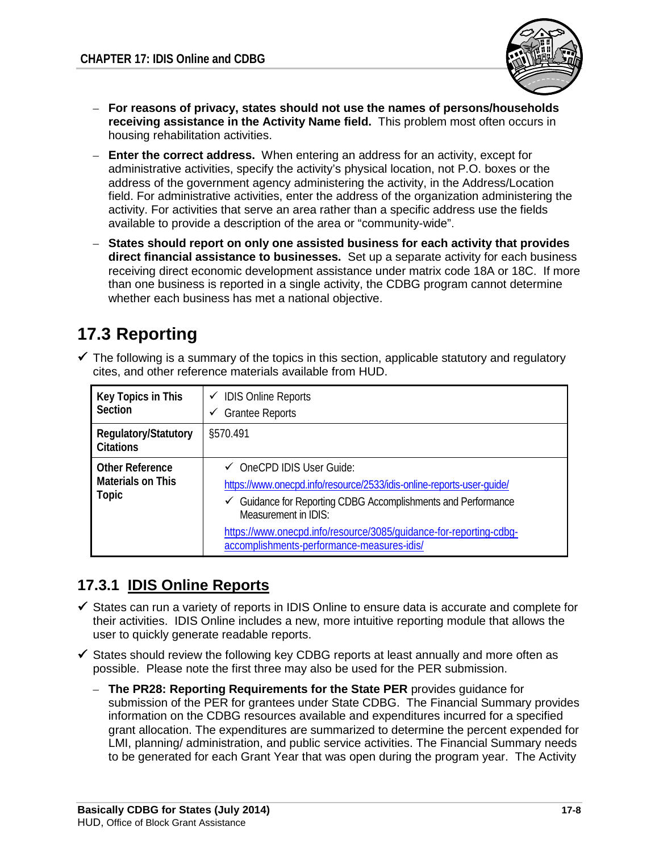

- **For reasons of privacy, states should not use the names of persons/households receiving assistance in the Activity Name field.** This problem most often occurs in housing rehabilitation activities.
- **Enter the correct address.** When entering an address for an activity, except for administrative activities, specify the activity's physical location, not P.O. boxes or the address of the government agency administering the activity, in the Address/Location field. For administrative activities, enter the address of the organization administering the activity. For activities that serve an area rather than a specific address use the fields available to provide a description of the area or "community-wide".
- **States should report on only one assisted business for each activity that provides direct financial assistance to businesses.** Set up a separate activity for each business receiving direct economic development assistance under matrix code 18A or 18C. If more than one business is reported in a single activity, the CDBG program cannot determine whether each business has met a national objective.

# **17.3 Reporting**

 $\checkmark$  The following is a summary of the topics in this section, applicable statutory and regulatory cites, and other reference materials available from HUD.

| Key Topics in This<br><b>Section</b>                        | $\checkmark$ IDIS Online Reports<br><b>Grantee Reports</b><br>✓                                                                                                                                                                                                                                             |
|-------------------------------------------------------------|-------------------------------------------------------------------------------------------------------------------------------------------------------------------------------------------------------------------------------------------------------------------------------------------------------------|
| Regulatory/Statutory<br><b>Citations</b>                    | §570.491                                                                                                                                                                                                                                                                                                    |
| <b>Other Reference</b><br><b>Materials on This</b><br>Topic | OneCPD IDIS User Guide:<br>https://www.onecpd.info/resource/2533/idis-online-reports-user-quide/<br>Guidance for Reporting CDBG Accomplishments and Performance<br>Measurement in IDIS:<br>https://www.onecpd.info/resource/3085/quidance-for-reporting-cdbg-<br>accomplishments-performance-measures-idis/ |

## **17.3.1 IDIS Online Reports**

- $\checkmark$  States can run a variety of reports in IDIS Online to ensure data is accurate and complete for their activities. IDIS Online includes a new, more intuitive reporting module that allows the user to quickly generate readable reports.
- $\checkmark$  States should review the following key CDBG reports at least annually and more often as possible. Please note the first three may also be used for the PER submission.
	- **The PR28: Reporting Requirements for the State PER** provides guidance for submission of the PER for grantees under State CDBG. The Financial Summary provides information on the CDBG resources available and expenditures incurred for a specified grant allocation. The expenditures are summarized to determine the percent expended for LMI, planning/ administration, and public service activities. The Financial Summary needs to be generated for each Grant Year that was open during the program year. The Activity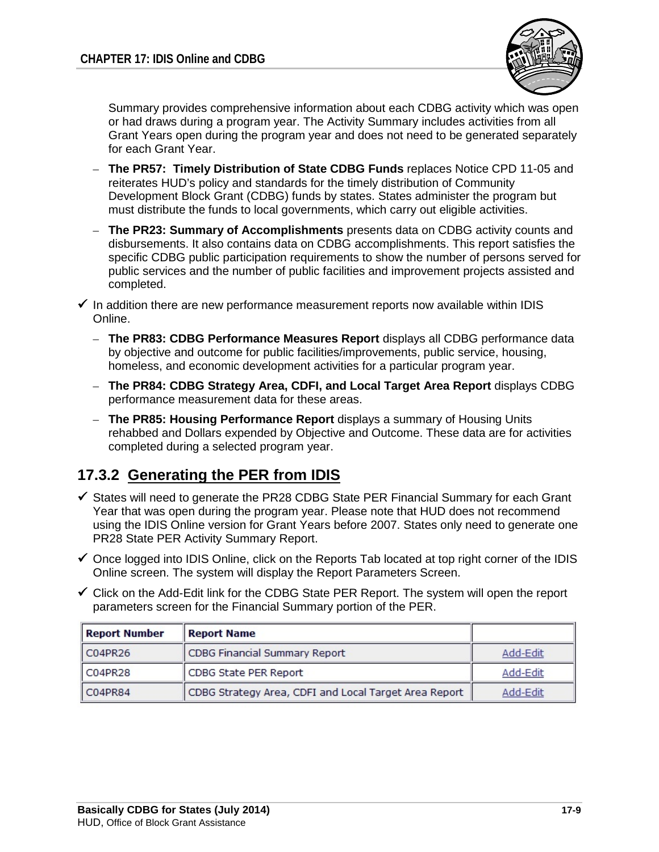

Summary provides comprehensive information about each CDBG activity which was open or had draws during a program year. The Activity Summary includes activities from all Grant Years open during the program year and does not need to be generated separately for each Grant Year.

- **The PR57: Timely Distribution of State CDBG Funds** replaces Notice CPD 11-05 and reiterates HUD's policy and standards for the timely distribution of Community Development Block Grant (CDBG) funds by states. States administer the program but must distribute the funds to local governments, which carry out eligible activities.
- **The PR23: Summary of Accomplishments** presents data on CDBG activity counts and disbursements. It also contains data on CDBG accomplishments. This report satisfies the specific CDBG public participation requirements to show the number of persons served for public services and the number of public facilities and improvement projects assisted and completed.

 $\checkmark$  In addition there are new performance measurement reports now available within IDIS Online.

- **The PR83: CDBG Performance Measures Report** displays all CDBG performance data by objective and outcome for public facilities/improvements, public service, housing, homeless, and economic development activities for a particular program year.
- **The PR84: CDBG Strategy Area, CDFI, and Local Target Area Report** displays CDBG performance measurement data for these areas.
- **The PR85: Housing Performance Report** displays a summary of Housing Units rehabbed and Dollars expended by Objective and Outcome. These data are for activities completed during a selected program year.

## **17.3.2 Generating the PER from IDIS**

- $\checkmark$  States will need to generate the PR28 CDBG State PER Financial Summary for each Grant Year that was open during the program year. Please note that HUD does not recommend using the IDIS Online version for Grant Years before 2007. States only need to generate one PR28 State PER Activity Summary Report.
- $\checkmark$  Once logged into IDIS Online, click on the Reports Tab located at top right corner of the IDIS Online screen. The system will display the Report Parameters Screen.
- $\checkmark$  Click on the Add-Edit link for the CDBG State PER Report. The system will open the report parameters screen for the Financial Summary portion of the PER.

| <b>Report Number</b> | Report Name                                           |          |
|----------------------|-------------------------------------------------------|----------|
| C04PR26              | CDBG Financial Summary Report                         | Add-Edit |
| CO4PR28              | CDBG State PER Report                                 | Add-Edit |
| C04PR84              | CDBG Strategy Area, CDFI and Local Target Area Report | Add-Edit |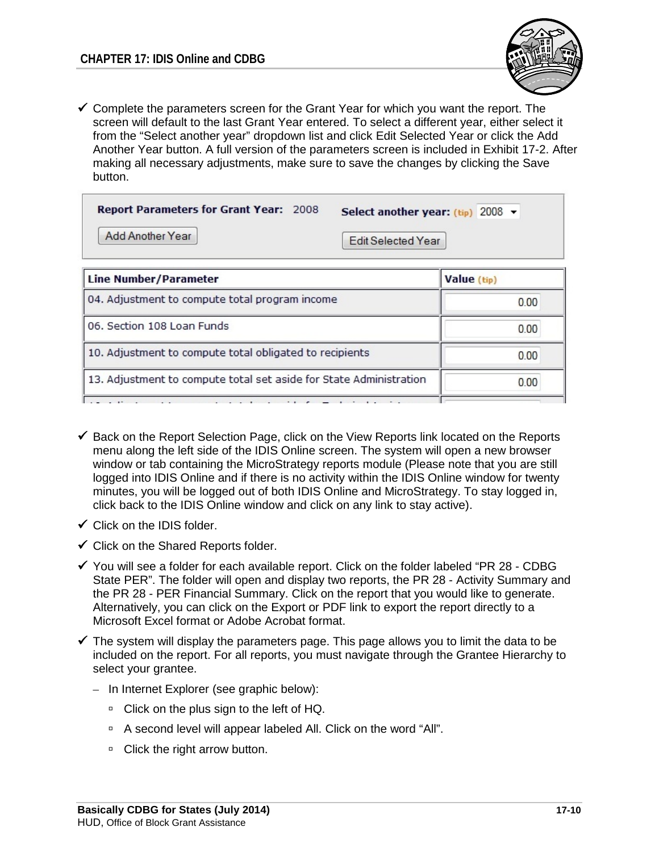

 $\checkmark$  Complete the parameters screen for the Grant Year for which you want the report. The screen will default to the last Grant Year entered. To select a different year, either select it from the "Select another year" dropdown list and click Edit Selected Year or click the Add Another Year button. A full version of the parameters screen is included in Exhibit 17-2. After making all necessary adjustments, make sure to save the changes by clicking the Save button.

| <b>Report Parameters for Grant Year: 2008</b> | Select another year: $(tip)$ 2008 $\rightarrow$ |
|-----------------------------------------------|-------------------------------------------------|
| Add Another Year                              | <b>Edit Selected Year</b>                       |
|                                               |                                                 |

| <b>Line Number/Parameter</b>                                       | Value (tip) |
|--------------------------------------------------------------------|-------------|
| 04. Adjustment to compute total program income                     | 0.00        |
| 06. Section 108 Loan Funds                                         | 0.00        |
| 10. Adjustment to compute total obligated to recipients            | 0.00        |
| 13. Adjustment to compute total set aside for State Administration | 0.00        |
|                                                                    |             |

- $\checkmark$  Back on the Report Selection Page, click on the View Reports link located on the Reports menu along the left side of the IDIS Online screen. The system will open a new browser window or tab containing the MicroStrategy reports module (Please note that you are still logged into IDIS Online and if there is no activity within the IDIS Online window for twenty minutes, you will be logged out of both IDIS Online and MicroStrategy. To stay logged in, click back to the IDIS Online window and click on any link to stay active).
- $\checkmark$  Click on the IDIS folder.
- $\checkmark$  Click on the Shared Reports folder.
- $\checkmark$  You will see a folder for each available report. Click on the folder labeled "PR 28 CDBG State PER". The folder will open and display two reports, the PR 28 - Activity Summary and the PR 28 - PER Financial Summary. Click on the report that you would like to generate. Alternatively, you can click on the Export or PDF link to export the report directly to a Microsoft Excel format or Adobe Acrobat format.
- $\checkmark$  The system will display the parameters page. This page allows you to limit the data to be included on the report. For all reports, you must navigate through the Grantee Hierarchy to select your grantee.
	- In Internet Explorer (see graphic below):
		- □ Click on the plus sign to the left of HQ.
		- <sup>D</sup> A second level will appear labeled All. Click on the word "All".
		- □ Click the right arrow button.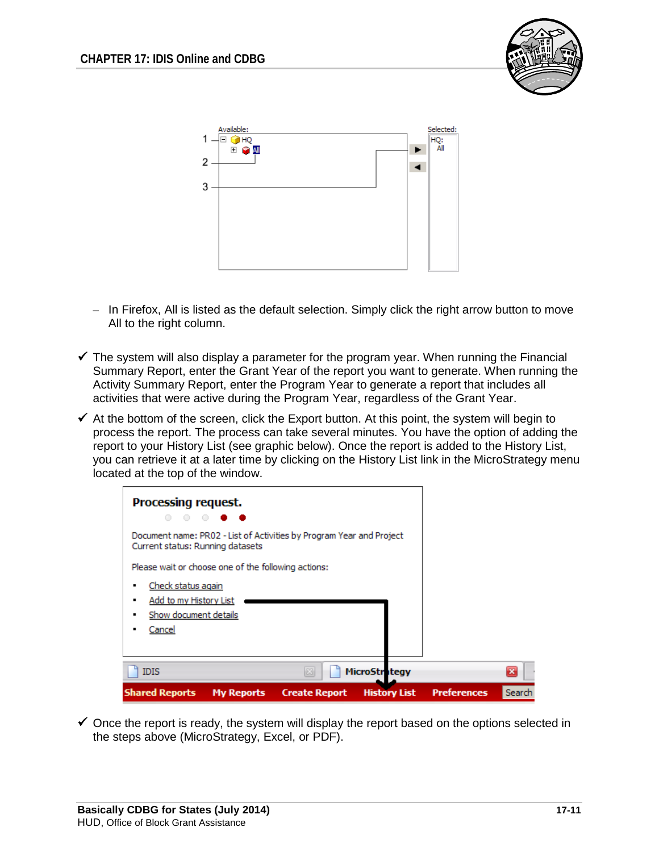



- In Firefox, All is listed as the default selection. Simply click the right arrow button to move All to the right column.
- $\checkmark$  The system will also display a parameter for the program year. When running the Financial Summary Report, enter the Grant Year of the report you want to generate. When running the Activity Summary Report, enter the Program Year to generate a report that includes all activities that were active during the Program Year, regardless of the Grant Year.
- $\checkmark$  At the bottom of the screen, click the Export button. At this point, the system will begin to process the report. The process can take several minutes. You have the option of adding the report to your History List (see graphic below). Once the report is added to the History List, you can retrieve it at a later time by clicking on the History List link in the MicroStrategy menu located at the top of the window.



 $\checkmark$  Once the report is ready, the system will display the report based on the options selected in the steps above (MicroStrategy, Excel, or PDF).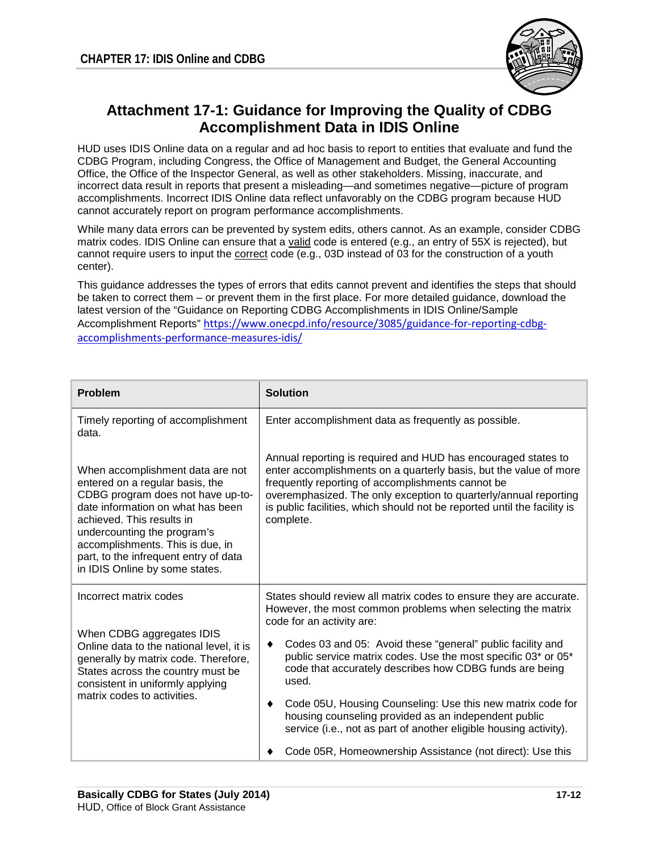

### **Attachment 17-1: Guidance for Improving the Quality of CDBG Accomplishment Data in IDIS Online**

HUD uses IDIS Online data on a regular and ad hoc basis to report to entities that evaluate and fund the CDBG Program, including Congress, the Office of Management and Budget, the General Accounting Office, the Office of the Inspector General, as well as other stakeholders. Missing, inaccurate, and incorrect data result in reports that present a misleading—and sometimes negative—picture of program accomplishments. Incorrect IDIS Online data reflect unfavorably on the CDBG program because HUD cannot accurately report on program performance accomplishments.

While many data errors can be prevented by system edits, others cannot. As an example, consider CDBG matrix codes. IDIS Online can ensure that a valid code is entered (e.g., an entry of 55X is rejected), but cannot require users to input the correct code (e.g., 03D instead of 03 for the construction of a youth center).

This guidance addresses the types of errors that edits cannot prevent and identifies the steps that should be taken to correct them – or prevent them in the first place. For more detailed guidance, download the latest version of the "Guidance on Reporting CDBG Accomplishments in IDIS Online/Sample Accomplishment Reports" [https://www.onecpd.info/resource/3085/guidance-for-reporting-cdbg](https://www.onecpd.info/resource/3085/guidance-for-reporting-cdbg-accomplishments-performance-measures-idis/)[accomplishments-performance-measures-idis/](https://www.onecpd.info/resource/3085/guidance-for-reporting-cdbg-accomplishments-performance-measures-idis/)

| <b>Problem</b>                                                                                                                                                                                                                                                                                                           | <b>Solution</b>                                                                                                                                                                                                                                                                                                                                      |  |  |
|--------------------------------------------------------------------------------------------------------------------------------------------------------------------------------------------------------------------------------------------------------------------------------------------------------------------------|------------------------------------------------------------------------------------------------------------------------------------------------------------------------------------------------------------------------------------------------------------------------------------------------------------------------------------------------------|--|--|
| Timely reporting of accomplishment<br>data.                                                                                                                                                                                                                                                                              | Enter accomplishment data as frequently as possible.                                                                                                                                                                                                                                                                                                 |  |  |
| When accomplishment data are not<br>entered on a regular basis, the<br>CDBG program does not have up-to-<br>date information on what has been<br>achieved. This results in<br>undercounting the program's<br>accomplishments. This is due, in<br>part, to the infrequent entry of data<br>in IDIS Online by some states. | Annual reporting is required and HUD has encouraged states to<br>enter accomplishments on a quarterly basis, but the value of more<br>frequently reporting of accomplishments cannot be<br>overemphasized. The only exception to quarterly/annual reporting<br>is public facilities, which should not be reported until the facility is<br>complete. |  |  |
| Incorrect matrix codes                                                                                                                                                                                                                                                                                                   | States should review all matrix codes to ensure they are accurate.<br>However, the most common problems when selecting the matrix<br>code for an activity are:                                                                                                                                                                                       |  |  |
| When CDBG aggregates IDIS<br>Online data to the national level, it is<br>generally by matrix code. Therefore,<br>States across the country must be<br>consistent in uniformly applying<br>matrix codes to activities.                                                                                                    | Codes 03 and 05: Avoid these "general" public facility and<br>public service matrix codes. Use the most specific 03* or 05*<br>code that accurately describes how CDBG funds are being<br>used.                                                                                                                                                      |  |  |
|                                                                                                                                                                                                                                                                                                                          | Code 05U, Housing Counseling: Use this new matrix code for<br>housing counseling provided as an independent public<br>service (i.e., not as part of another eligible housing activity).                                                                                                                                                              |  |  |
|                                                                                                                                                                                                                                                                                                                          | Code 05R, Homeownership Assistance (not direct): Use this                                                                                                                                                                                                                                                                                            |  |  |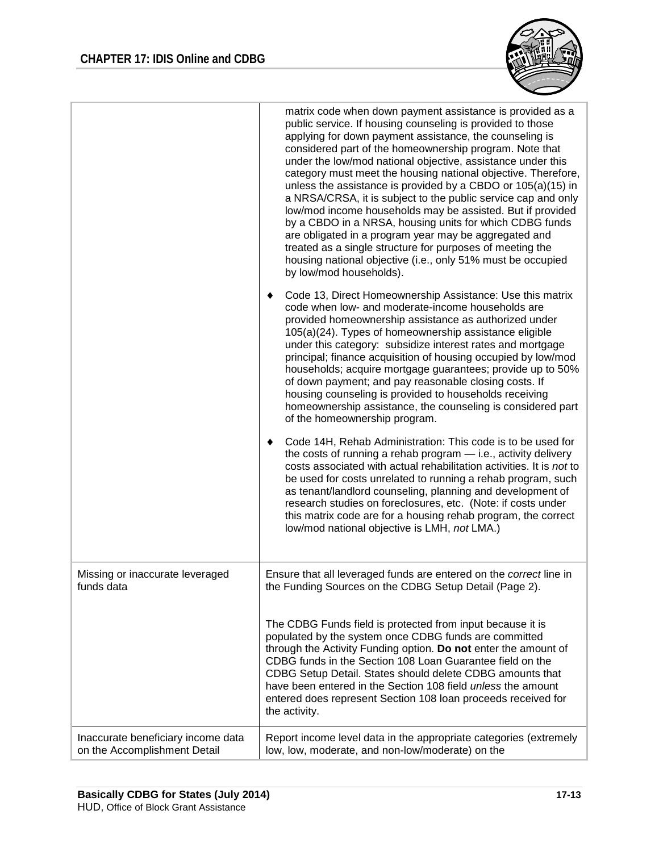

|                                                                    | matrix code when down payment assistance is provided as a<br>public service. If housing counseling is provided to those<br>applying for down payment assistance, the counseling is<br>considered part of the homeownership program. Note that<br>under the low/mod national objective, assistance under this<br>category must meet the housing national objective. Therefore,<br>unless the assistance is provided by a CBDO or 105(a)(15) in<br>a NRSA/CRSA, it is subject to the public service cap and only<br>low/mod income households may be assisted. But if provided<br>by a CBDO in a NRSA, housing units for which CDBG funds<br>are obligated in a program year may be aggregated and<br>treated as a single structure for purposes of meeting the<br>housing national objective (i.e., only 51% must be occupied<br>by low/mod households). |
|--------------------------------------------------------------------|---------------------------------------------------------------------------------------------------------------------------------------------------------------------------------------------------------------------------------------------------------------------------------------------------------------------------------------------------------------------------------------------------------------------------------------------------------------------------------------------------------------------------------------------------------------------------------------------------------------------------------------------------------------------------------------------------------------------------------------------------------------------------------------------------------------------------------------------------------|
|                                                                    | Code 13, Direct Homeownership Assistance: Use this matrix<br>code when low- and moderate-income households are<br>provided homeownership assistance as authorized under<br>105(a)(24). Types of homeownership assistance eligible<br>under this category: subsidize interest rates and mortgage<br>principal; finance acquisition of housing occupied by low/mod<br>households; acquire mortgage guarantees; provide up to 50%<br>of down payment; and pay reasonable closing costs. If<br>housing counseling is provided to households receiving<br>homeownership assistance, the counseling is considered part<br>of the homeownership program.                                                                                                                                                                                                       |
|                                                                    | Code 14H, Rehab Administration: This code is to be used for<br>the costs of running a rehab program $-$ i.e., activity delivery<br>costs associated with actual rehabilitation activities. It is not to<br>be used for costs unrelated to running a rehab program, such<br>as tenant/landlord counseling, planning and development of<br>research studies on foreclosures, etc. (Note: if costs under<br>this matrix code are for a housing rehab program, the correct<br>low/mod national objective is LMH, not LMA.)                                                                                                                                                                                                                                                                                                                                  |
| Missing or inaccurate leveraged<br>funds data                      | Ensure that all leveraged funds are entered on the correct line in<br>the Funding Sources on the CDBG Setup Detail (Page 2).                                                                                                                                                                                                                                                                                                                                                                                                                                                                                                                                                                                                                                                                                                                            |
|                                                                    | The CDBG Funds field is protected from input because it is<br>populated by the system once CDBG funds are committed<br>through the Activity Funding option. Do not enter the amount of<br>CDBG funds in the Section 108 Loan Guarantee field on the<br>CDBG Setup Detail. States should delete CDBG amounts that<br>have been entered in the Section 108 field <i>unless</i> the amount<br>entered does represent Section 108 loan proceeds received for<br>the activity.                                                                                                                                                                                                                                                                                                                                                                               |
| Inaccurate beneficiary income data<br>on the Accomplishment Detail | Report income level data in the appropriate categories (extremely<br>low, low, moderate, and non-low/moderate) on the                                                                                                                                                                                                                                                                                                                                                                                                                                                                                                                                                                                                                                                                                                                                   |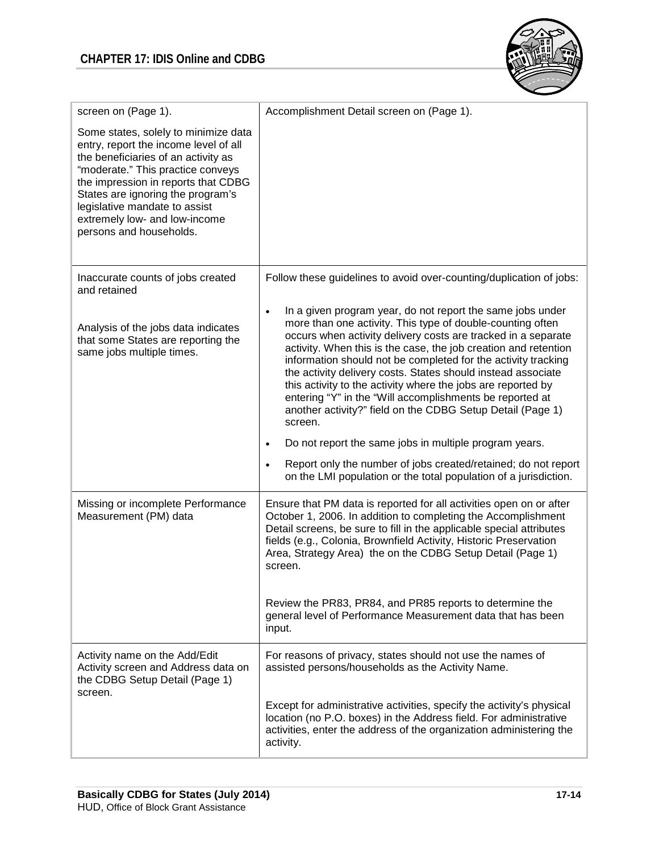

| screen on (Page 1).                                                                                                                                                                                                                                                                                                                | Accomplishment Detail screen on (Page 1).                                                                                                                                                                                                                                                                                                                                                                                                                                                                                                                                                                                                                                                                                                                             |
|------------------------------------------------------------------------------------------------------------------------------------------------------------------------------------------------------------------------------------------------------------------------------------------------------------------------------------|-----------------------------------------------------------------------------------------------------------------------------------------------------------------------------------------------------------------------------------------------------------------------------------------------------------------------------------------------------------------------------------------------------------------------------------------------------------------------------------------------------------------------------------------------------------------------------------------------------------------------------------------------------------------------------------------------------------------------------------------------------------------------|
| Some states, solely to minimize data<br>entry, report the income level of all<br>the beneficiaries of an activity as<br>"moderate." This practice conveys<br>the impression in reports that CDBG<br>States are ignoring the program's<br>legislative mandate to assist<br>extremely low- and low-income<br>persons and households. |                                                                                                                                                                                                                                                                                                                                                                                                                                                                                                                                                                                                                                                                                                                                                                       |
| Inaccurate counts of jobs created<br>and retained                                                                                                                                                                                                                                                                                  | Follow these guidelines to avoid over-counting/duplication of jobs:                                                                                                                                                                                                                                                                                                                                                                                                                                                                                                                                                                                                                                                                                                   |
| Analysis of the jobs data indicates<br>that some States are reporting the<br>same jobs multiple times.                                                                                                                                                                                                                             | In a given program year, do not report the same jobs under<br>$\bullet$<br>more than one activity. This type of double-counting often<br>occurs when activity delivery costs are tracked in a separate<br>activity. When this is the case, the job creation and retention<br>information should not be completed for the activity tracking<br>the activity delivery costs. States should instead associate<br>this activity to the activity where the jobs are reported by<br>entering "Y" in the "Will accomplishments be reported at<br>another activity?" field on the CDBG Setup Detail (Page 1)<br>screen.<br>Do not report the same jobs in multiple program years.<br>$\bullet$<br>Report only the number of jobs created/retained; do not report<br>$\bullet$ |
|                                                                                                                                                                                                                                                                                                                                    | on the LMI population or the total population of a jurisdiction.                                                                                                                                                                                                                                                                                                                                                                                                                                                                                                                                                                                                                                                                                                      |
| Missing or incomplete Performance<br>Measurement (PM) data                                                                                                                                                                                                                                                                         | Ensure that PM data is reported for all activities open on or after<br>October 1, 2006. In addition to completing the Accomplishment<br>Detail screens, be sure to fill in the applicable special attributes<br>fields (e.g., Colonia, Brownfield Activity, Historic Preservation<br>Area, Strategy Area) the on the CDBG Setup Detail (Page 1)<br>screen.                                                                                                                                                                                                                                                                                                                                                                                                            |
|                                                                                                                                                                                                                                                                                                                                    | Review the PR83, PR84, and PR85 reports to determine the<br>general level of Performance Measurement data that has been<br>input.                                                                                                                                                                                                                                                                                                                                                                                                                                                                                                                                                                                                                                     |
| Activity name on the Add/Edit<br>Activity screen and Address data on<br>the CDBG Setup Detail (Page 1)<br>screen.                                                                                                                                                                                                                  | For reasons of privacy, states should not use the names of<br>assisted persons/households as the Activity Name.                                                                                                                                                                                                                                                                                                                                                                                                                                                                                                                                                                                                                                                       |
|                                                                                                                                                                                                                                                                                                                                    | Except for administrative activities, specify the activity's physical<br>location (no P.O. boxes) in the Address field. For administrative<br>activities, enter the address of the organization administering the<br>activity.                                                                                                                                                                                                                                                                                                                                                                                                                                                                                                                                        |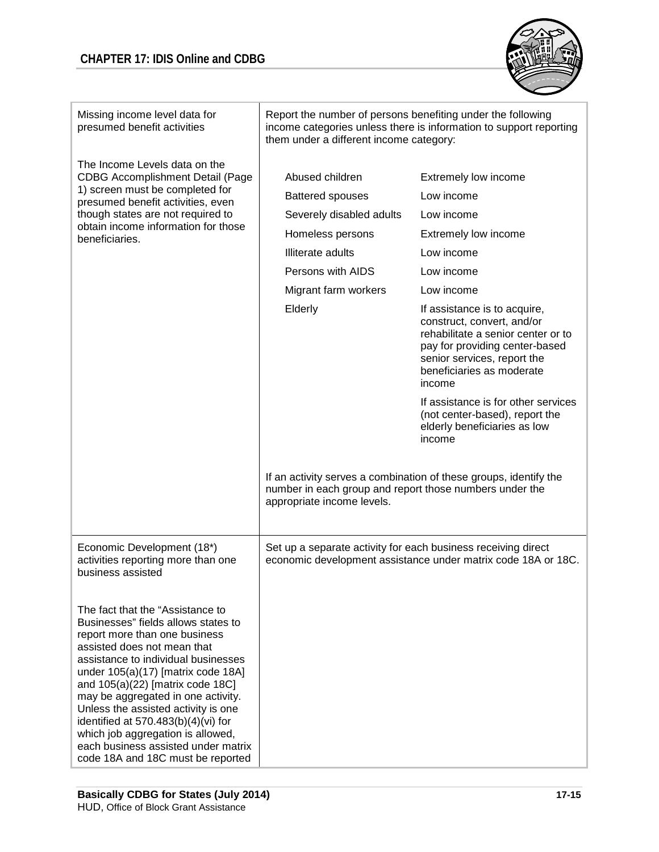

| Missing income level data for<br>presumed benefit activities                                                                                                                                                                                                                                                                                                                                                                                                                                      | Report the number of persons benefiting under the following<br>income categories unless there is information to support reporting<br>them under a different income category:                                                                                            |                                                                                                                                                                                                                                                                                                                                                                                                                                                                                                                        |  |
|---------------------------------------------------------------------------------------------------------------------------------------------------------------------------------------------------------------------------------------------------------------------------------------------------------------------------------------------------------------------------------------------------------------------------------------------------------------------------------------------------|-------------------------------------------------------------------------------------------------------------------------------------------------------------------------------------------------------------------------------------------------------------------------|------------------------------------------------------------------------------------------------------------------------------------------------------------------------------------------------------------------------------------------------------------------------------------------------------------------------------------------------------------------------------------------------------------------------------------------------------------------------------------------------------------------------|--|
| The Income Levels data on the<br><b>CDBG Accomplishment Detail (Page</b><br>1) screen must be completed for<br>presumed benefit activities, even<br>though states are not required to<br>obtain income information for those<br>beneficiaries.                                                                                                                                                                                                                                                    | Abused children<br><b>Battered spouses</b><br>Severely disabled adults<br>Homeless persons<br><b>Illiterate adults</b><br>Persons with AIDS<br>Migrant farm workers<br>Elderly<br>number in each group and report those numbers under the<br>appropriate income levels. | Extremely low income<br>Low income<br>Low income<br>Extremely low income<br>Low income<br>Low income<br>Low income<br>If assistance is to acquire,<br>construct, convert, and/or<br>rehabilitate a senior center or to<br>pay for providing center-based<br>senior services, report the<br>beneficiaries as moderate<br>income<br>If assistance is for other services<br>(not center-based), report the<br>elderly beneficiaries as low<br>income<br>If an activity serves a combination of these groups, identify the |  |
| Economic Development (18*)<br>activities reporting more than one<br>business assisted                                                                                                                                                                                                                                                                                                                                                                                                             | Set up a separate activity for each business receiving direct<br>economic development assistance under matrix code 18A or 18C.                                                                                                                                          |                                                                                                                                                                                                                                                                                                                                                                                                                                                                                                                        |  |
| The fact that the "Assistance to<br>Businesses" fields allows states to<br>report more than one business<br>assisted does not mean that<br>assistance to individual businesses<br>under 105(a)(17) [matrix code 18A]<br>and $105(a)(22)$ [matrix code 18C]<br>may be aggregated in one activity.<br>Unless the assisted activity is one<br>identified at $570.483(b)(4)(vi)$ for<br>which job aggregation is allowed,<br>each business assisted under matrix<br>code 18A and 18C must be reported |                                                                                                                                                                                                                                                                         |                                                                                                                                                                                                                                                                                                                                                                                                                                                                                                                        |  |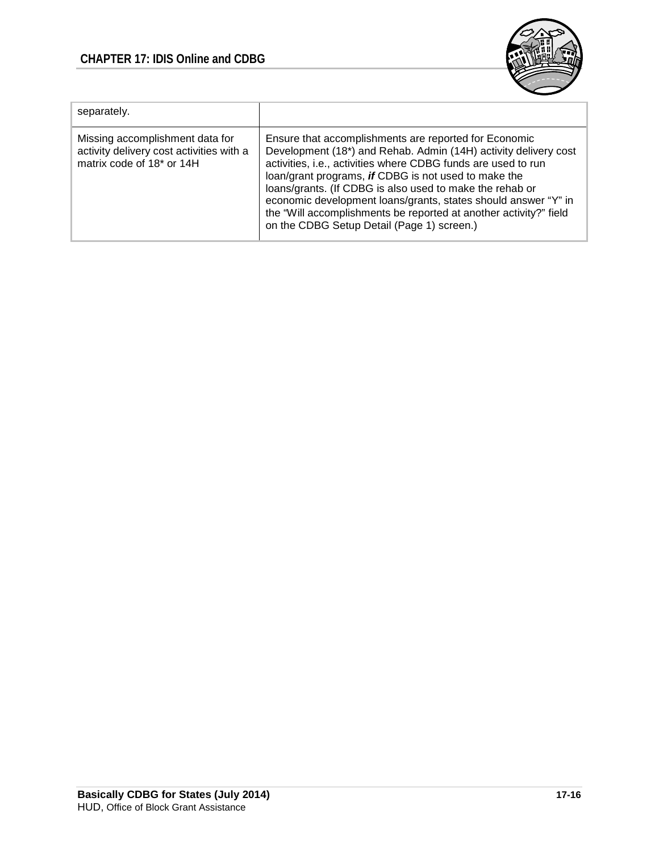### **CHAPTER 17: IDIS Online and CDBG**



| separately.                                                                                              |                                                                                                                                                                                                                                                                                                                                                                                                                                                                                                    |
|----------------------------------------------------------------------------------------------------------|----------------------------------------------------------------------------------------------------------------------------------------------------------------------------------------------------------------------------------------------------------------------------------------------------------------------------------------------------------------------------------------------------------------------------------------------------------------------------------------------------|
| Missing accomplishment data for<br>activity delivery cost activities with a<br>matrix code of 18* or 14H | Ensure that accomplishments are reported for Economic<br>Development (18*) and Rehab. Admin (14H) activity delivery cost<br>activities, i.e., activities where CDBG funds are used to run<br>loan/grant programs, if CDBG is not used to make the<br>loans/grants. (If CDBG is also used to make the rehab or<br>economic development loans/grants, states should answer "Y" in<br>the "Will accomplishments be reported at another activity?" field<br>on the CDBG Setup Detail (Page 1) screen.) |